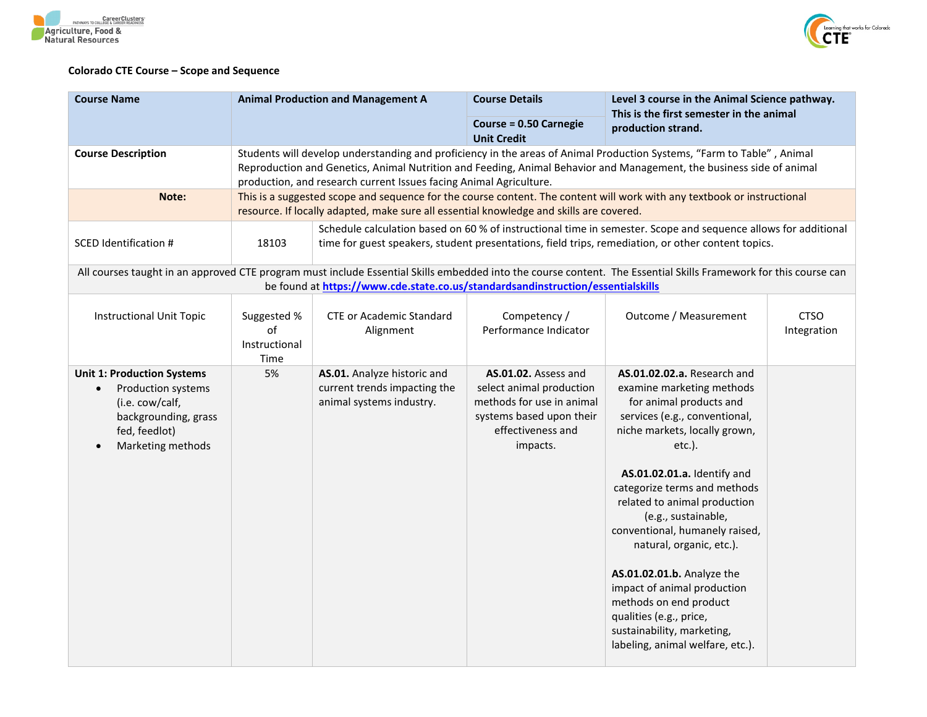



## **Colorado CTE Course – Scope and Sequence**

| <b>Course Name</b>                                                                                                                       | <b>Animal Production and Management A</b>                                                                                                                                                                                     |                                                                                                                                                                                                                    | <b>Course Details</b>                                                                                                                      | Level 3 course in the Animal Science pathway.<br>This is the first semester in the animal<br>production strand.                                                                                                                                                                                                                                                                                                                                                                                                                            |                            |  |
|------------------------------------------------------------------------------------------------------------------------------------------|-------------------------------------------------------------------------------------------------------------------------------------------------------------------------------------------------------------------------------|--------------------------------------------------------------------------------------------------------------------------------------------------------------------------------------------------------------------|--------------------------------------------------------------------------------------------------------------------------------------------|--------------------------------------------------------------------------------------------------------------------------------------------------------------------------------------------------------------------------------------------------------------------------------------------------------------------------------------------------------------------------------------------------------------------------------------------------------------------------------------------------------------------------------------------|----------------------------|--|
|                                                                                                                                          |                                                                                                                                                                                                                               |                                                                                                                                                                                                                    | <b>Course = 0.50 Carnegie</b><br><b>Unit Credit</b>                                                                                        |                                                                                                                                                                                                                                                                                                                                                                                                                                                                                                                                            |                            |  |
| <b>Course Description</b>                                                                                                                |                                                                                                                                                                                                                               | production, and research current Issues facing Animal Agriculture.                                                                                                                                                 |                                                                                                                                            | Students will develop understanding and proficiency in the areas of Animal Production Systems, "Farm to Table", Animal<br>Reproduction and Genetics, Animal Nutrition and Feeding, Animal Behavior and Management, the business side of animal                                                                                                                                                                                                                                                                                             |                            |  |
| Note:                                                                                                                                    |                                                                                                                                                                                                                               | This is a suggested scope and sequence for the course content. The content will work with any textbook or instructional<br>resource. If locally adapted, make sure all essential knowledge and skills are covered. |                                                                                                                                            |                                                                                                                                                                                                                                                                                                                                                                                                                                                                                                                                            |                            |  |
| <b>SCED Identification #</b>                                                                                                             | Schedule calculation based on 60 % of instructional time in semester. Scope and sequence allows for additional<br>18103<br>time for guest speakers, student presentations, field trips, remediation, or other content topics. |                                                                                                                                                                                                                    |                                                                                                                                            |                                                                                                                                                                                                                                                                                                                                                                                                                                                                                                                                            |                            |  |
|                                                                                                                                          |                                                                                                                                                                                                                               | be found at https://www.cde.state.co.us/standardsandinstruction/essentialskills                                                                                                                                    |                                                                                                                                            | All courses taught in an approved CTE program must include Essential Skills embedded into the course content. The Essential Skills Framework for this course can                                                                                                                                                                                                                                                                                                                                                                           |                            |  |
| <b>Instructional Unit Topic</b>                                                                                                          | Suggested %<br>of<br>Instructional<br>Time                                                                                                                                                                                    | <b>CTE or Academic Standard</b><br>Alignment                                                                                                                                                                       | Competency /<br>Performance Indicator                                                                                                      | Outcome / Measurement                                                                                                                                                                                                                                                                                                                                                                                                                                                                                                                      | <b>CTSO</b><br>Integration |  |
| <b>Unit 1: Production Systems</b><br>Production systems<br>(i.e. cow/calf,<br>backgrounding, grass<br>fed, feedlot)<br>Marketing methods | 5%                                                                                                                                                                                                                            | AS.01. Analyze historic and<br>current trends impacting the<br>animal systems industry.                                                                                                                            | AS.01.02. Assess and<br>select animal production<br>methods for use in animal<br>systems based upon their<br>effectiveness and<br>impacts. | AS.01.02.02.a. Research and<br>examine marketing methods<br>for animal products and<br>services (e.g., conventional,<br>niche markets, locally grown,<br>$etc.$ ).<br>AS.01.02.01.a. Identify and<br>categorize terms and methods<br>related to animal production<br>(e.g., sustainable,<br>conventional, humanely raised,<br>natural, organic, etc.).<br>AS.01.02.01.b. Analyze the<br>impact of animal production<br>methods on end product<br>qualities (e.g., price,<br>sustainability, marketing,<br>labeling, animal welfare, etc.). |                            |  |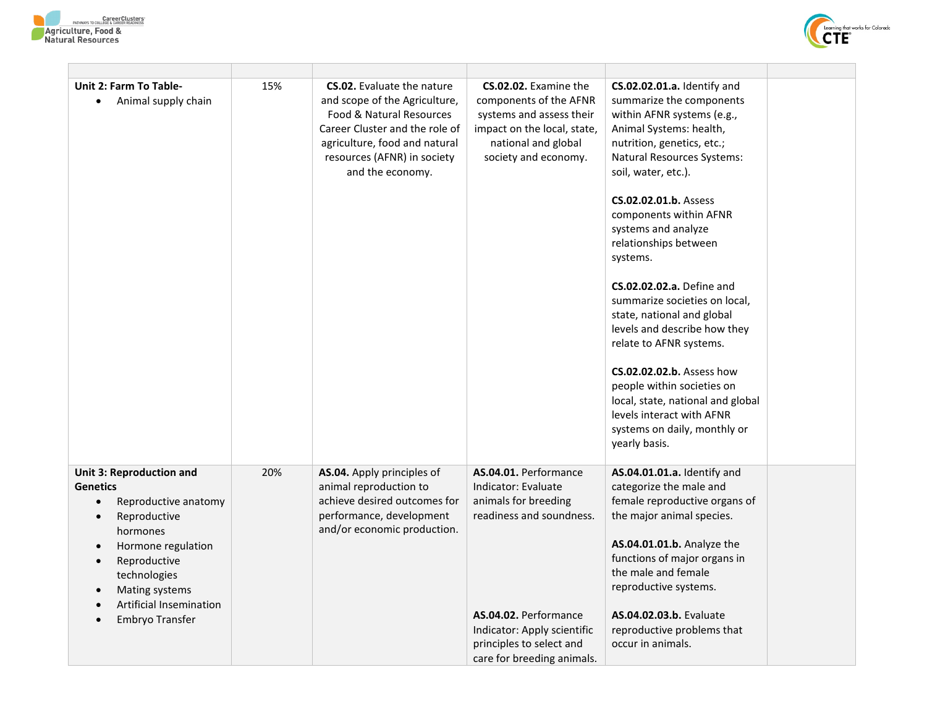



| Unit 2: Farm To Table-<br>Animal supply chain                                                                                                                                                                                                          | 15% | <b>CS.02.</b> Evaluate the nature<br>and scope of the Agriculture,<br>Food & Natural Resources<br>Career Cluster and the role of<br>agriculture, food and natural<br>resources (AFNR) in society<br>and the economy. | CS.02.02. Examine the<br>components of the AFNR<br>systems and assess their<br>impact on the local, state,<br>national and global<br>society and economy.                                                          | CS.02.02.01.a. Identify and<br>summarize the components<br>within AFNR systems (e.g.,<br>Animal Systems: health,<br>nutrition, genetics, etc.;<br>Natural Resources Systems:<br>soil, water, etc.).<br>CS.02.02.01.b. Assess<br>components within AFNR<br>systems and analyze<br>relationships between<br>systems.<br><b>CS.02.02.02.a.</b> Define and<br>summarize societies on local,<br>state, national and global<br>levels and describe how they<br>relate to AFNR systems.<br>CS.02.02.02.b. Assess how<br>people within societies on<br>local, state, national and global<br>levels interact with AFNR<br>systems on daily, monthly or<br>yearly basis. |  |
|--------------------------------------------------------------------------------------------------------------------------------------------------------------------------------------------------------------------------------------------------------|-----|----------------------------------------------------------------------------------------------------------------------------------------------------------------------------------------------------------------------|--------------------------------------------------------------------------------------------------------------------------------------------------------------------------------------------------------------------|----------------------------------------------------------------------------------------------------------------------------------------------------------------------------------------------------------------------------------------------------------------------------------------------------------------------------------------------------------------------------------------------------------------------------------------------------------------------------------------------------------------------------------------------------------------------------------------------------------------------------------------------------------------|--|
| <b>Unit 3: Reproduction and</b><br><b>Genetics</b><br>Reproductive anatomy<br>Reproductive<br>$\bullet$<br>hormones<br>Hormone regulation<br>Reproductive<br>$\bullet$<br>technologies<br>Mating systems<br>Artificial Insemination<br>Embryo Transfer | 20% | AS.04. Apply principles of<br>animal reproduction to<br>achieve desired outcomes for<br>performance, development<br>and/or economic production.                                                                      | AS.04.01. Performance<br>Indicator: Evaluate<br>animals for breeding<br>readiness and soundness.<br>AS.04.02. Performance<br>Indicator: Apply scientific<br>principles to select and<br>care for breeding animals. | AS.04.01.01.a. Identify and<br>categorize the male and<br>female reproductive organs of<br>the major animal species.<br>AS.04.01.01.b. Analyze the<br>functions of major organs in<br>the male and female<br>reproductive systems.<br>AS.04.02.03.b. Evaluate<br>reproductive problems that<br>occur in animals.                                                                                                                                                                                                                                                                                                                                               |  |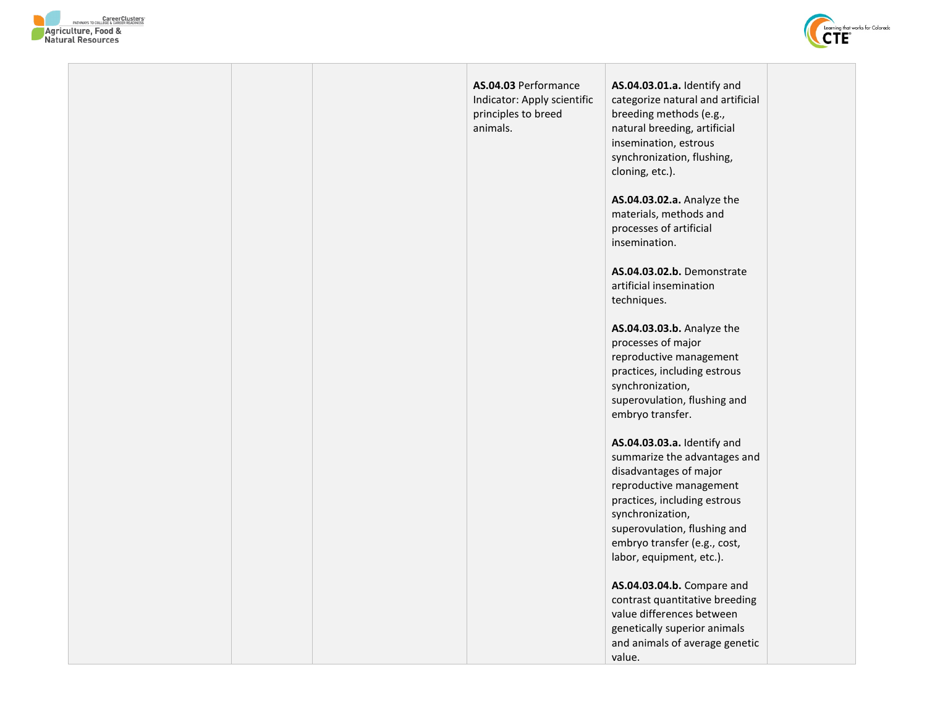



|  | AS.04.03 Performance<br>Indicator: Apply scientific<br>principles to breed<br>animals. | AS.04.03.01.a. Identify and<br>categorize natural and artificial<br>breeding methods (e.g.,<br>natural breeding, artificial<br>insemination, estrous<br>synchronization, flushing,<br>cloning, etc.).                                                            |  |
|--|----------------------------------------------------------------------------------------|------------------------------------------------------------------------------------------------------------------------------------------------------------------------------------------------------------------------------------------------------------------|--|
|  |                                                                                        | AS.04.03.02.a. Analyze the<br>materials, methods and<br>processes of artificial<br>insemination.                                                                                                                                                                 |  |
|  |                                                                                        | AS.04.03.02.b. Demonstrate<br>artificial insemination<br>techniques.                                                                                                                                                                                             |  |
|  |                                                                                        | AS.04.03.03.b. Analyze the<br>processes of major<br>reproductive management<br>practices, including estrous<br>synchronization,<br>superovulation, flushing and<br>embryo transfer.                                                                              |  |
|  |                                                                                        | AS.04.03.03.a. Identify and<br>summarize the advantages and<br>disadvantages of major<br>reproductive management<br>practices, including estrous<br>synchronization,<br>superovulation, flushing and<br>embryo transfer (e.g., cost,<br>labor, equipment, etc.). |  |
|  |                                                                                        | AS.04.03.04.b. Compare and<br>contrast quantitative breeding<br>value differences between<br>genetically superior animals<br>and animals of average genetic<br>value.                                                                                            |  |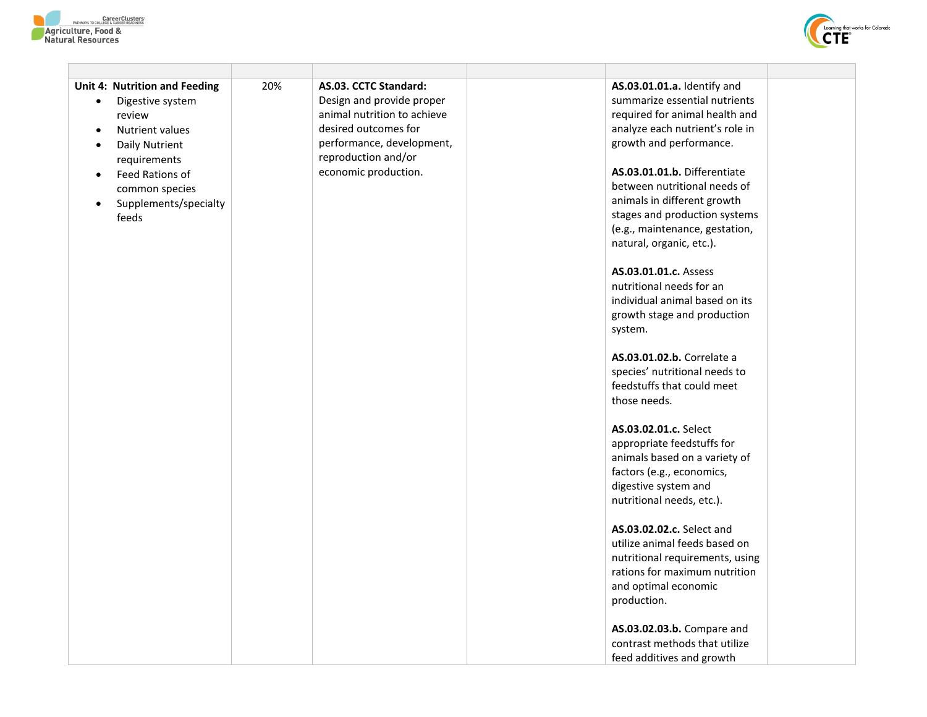



| <b>Unit 4: Nutrition and Feeding</b><br>Digestive system<br>$\bullet$<br>review<br>Nutrient values<br>$\bullet$<br>Daily Nutrient<br>$\bullet$<br>requirements<br>Feed Rations of<br>$\bullet$<br>common species<br>Supplements/specialty<br>$\bullet$<br>feeds | 20% | AS.03. CCTC Standard:<br>Design and provide proper<br>animal nutrition to achieve<br>desired outcomes for<br>performance, development,<br>reproduction and/or<br>economic production. | AS.03.01.01.a. Identify and<br>summarize essential nutrients<br>required for animal health and<br>analyze each nutrient's role in<br>growth and performance.<br>AS.03.01.01.b. Differentiate<br>between nutritional needs of<br>animals in different growth<br>stages and production systems<br>(e.g., maintenance, gestation,<br>natural, organic, etc.).<br>AS.03.01.01.c. Assess<br>nutritional needs for an<br>individual animal based on its<br>growth stage and production<br>system.<br>AS.03.01.02.b. Correlate a<br>species' nutritional needs to<br>feedstuffs that could meet<br>those needs.<br>AS.03.02.01.c. Select<br>appropriate feedstuffs for<br>animals based on a variety of<br>factors (e.g., economics,<br>digestive system and<br>nutritional needs, etc.).<br>AS.03.02.02.c. Select and<br>utilize animal feeds based on<br>nutritional requirements, using<br>rations for maximum nutrition<br>and optimal economic<br>production.<br>AS.03.02.03.b. Compare and<br>contrast methods that utilize<br>feed additives and growth |  |
|-----------------------------------------------------------------------------------------------------------------------------------------------------------------------------------------------------------------------------------------------------------------|-----|---------------------------------------------------------------------------------------------------------------------------------------------------------------------------------------|---------------------------------------------------------------------------------------------------------------------------------------------------------------------------------------------------------------------------------------------------------------------------------------------------------------------------------------------------------------------------------------------------------------------------------------------------------------------------------------------------------------------------------------------------------------------------------------------------------------------------------------------------------------------------------------------------------------------------------------------------------------------------------------------------------------------------------------------------------------------------------------------------------------------------------------------------------------------------------------------------------------------------------------------------------|--|
|                                                                                                                                                                                                                                                                 |     |                                                                                                                                                                                       |                                                                                                                                                                                                                                                                                                                                                                                                                                                                                                                                                                                                                                                                                                                                                                                                                                                                                                                                                                                                                                                         |  |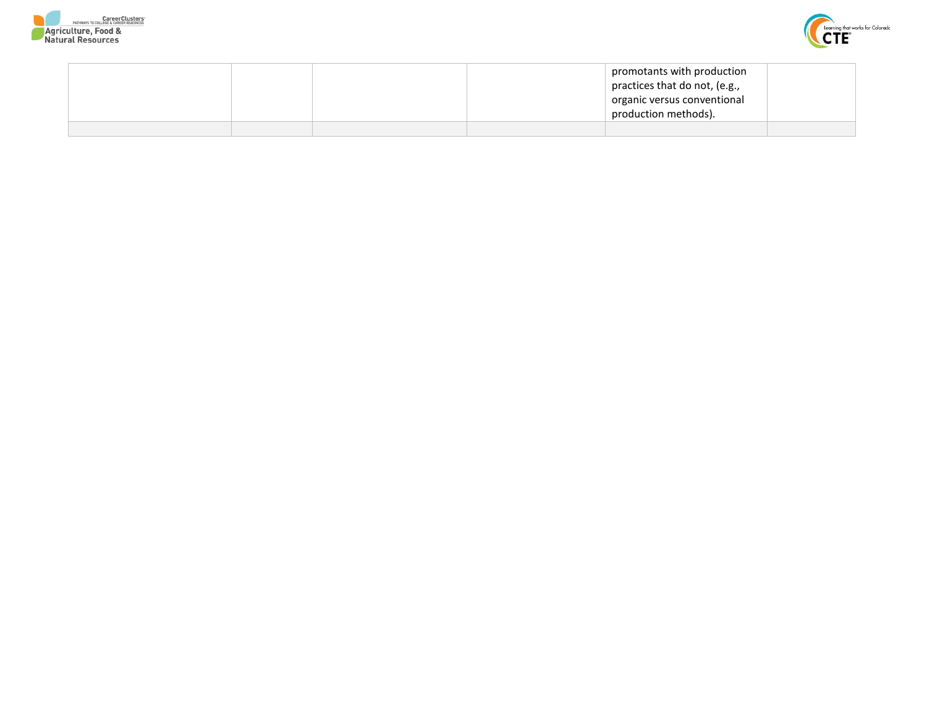



|  |  | promotants with production    |  |
|--|--|-------------------------------|--|
|  |  | practices that do not, (e.g., |  |
|  |  | organic versus conventional   |  |
|  |  | production methods).          |  |
|  |  |                               |  |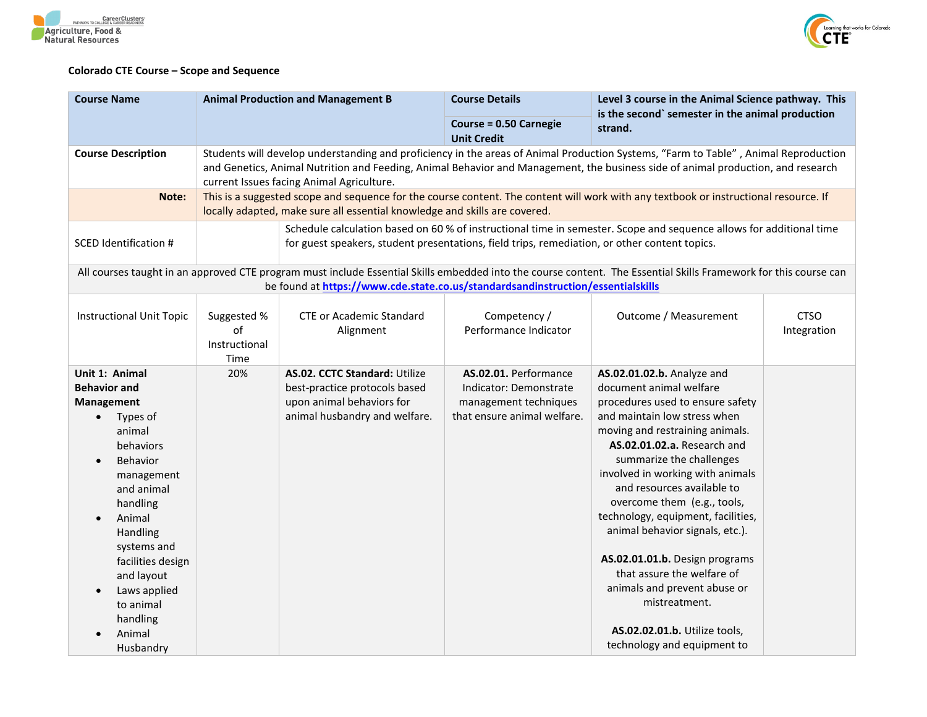



## **Colorado CTE Course – Scope and Sequence**

| <b>Course Name</b>                                                                                                                                                                                                                                                                                                               | <b>Animal Production and Management B</b><br><b>Course Details</b><br><b>Course = 0.50 Carnegie</b><br>strand.<br><b>Unit Credit</b> |                                                                                                                              |                                                                                                         | Level 3 course in the Animal Science pathway. This<br>is the second` semester in the animal production                                                                                                                                                                                                                                                                                                                                                                                                                                                                             |                            |
|----------------------------------------------------------------------------------------------------------------------------------------------------------------------------------------------------------------------------------------------------------------------------------------------------------------------------------|--------------------------------------------------------------------------------------------------------------------------------------|------------------------------------------------------------------------------------------------------------------------------|---------------------------------------------------------------------------------------------------------|------------------------------------------------------------------------------------------------------------------------------------------------------------------------------------------------------------------------------------------------------------------------------------------------------------------------------------------------------------------------------------------------------------------------------------------------------------------------------------------------------------------------------------------------------------------------------------|----------------------------|
|                                                                                                                                                                                                                                                                                                                                  |                                                                                                                                      |                                                                                                                              |                                                                                                         |                                                                                                                                                                                                                                                                                                                                                                                                                                                                                                                                                                                    |                            |
| <b>Course Description</b>                                                                                                                                                                                                                                                                                                        |                                                                                                                                      | current Issues facing Animal Agriculture.                                                                                    |                                                                                                         | Students will develop understanding and proficiency in the areas of Animal Production Systems, "Farm to Table", Animal Reproduction<br>and Genetics, Animal Nutrition and Feeding, Animal Behavior and Management, the business side of animal production, and research                                                                                                                                                                                                                                                                                                            |                            |
| Note:                                                                                                                                                                                                                                                                                                                            |                                                                                                                                      | locally adapted, make sure all essential knowledge and skills are covered.                                                   |                                                                                                         | This is a suggested scope and sequence for the course content. The content will work with any textbook or instructional resource. If                                                                                                                                                                                                                                                                                                                                                                                                                                               |                            |
| <b>SCED Identification #</b>                                                                                                                                                                                                                                                                                                     |                                                                                                                                      | for guest speakers, student presentations, field trips, remediation, or other content topics.                                |                                                                                                         | Schedule calculation based on 60 % of instructional time in semester. Scope and sequence allows for additional time                                                                                                                                                                                                                                                                                                                                                                                                                                                                |                            |
|                                                                                                                                                                                                                                                                                                                                  |                                                                                                                                      | be found at https://www.cde.state.co.us/standardsandinstruction/essentialskills                                              |                                                                                                         | All courses taught in an approved CTE program must include Essential Skills embedded into the course content. The Essential Skills Framework for this course can                                                                                                                                                                                                                                                                                                                                                                                                                   |                            |
| <b>Instructional Unit Topic</b>                                                                                                                                                                                                                                                                                                  | Suggested %<br>of<br>Instructional<br>Time                                                                                           | <b>CTE or Academic Standard</b><br>Alignment                                                                                 | Competency /<br>Performance Indicator                                                                   | Outcome / Measurement                                                                                                                                                                                                                                                                                                                                                                                                                                                                                                                                                              | <b>CTSO</b><br>Integration |
| Unit 1: Animal<br><b>Behavior and</b><br><b>Management</b><br>Types of<br>$\bullet$<br>animal<br>behaviors<br>Behavior<br>$\bullet$<br>management<br>and animal<br>handling<br>Animal<br>$\bullet$<br>Handling<br>systems and<br>facilities design<br>and layout<br>Laws applied<br>to animal<br>handling<br>Animal<br>Husbandry | 20%                                                                                                                                  | AS.02. CCTC Standard: Utilize<br>best-practice protocols based<br>upon animal behaviors for<br>animal husbandry and welfare. | AS.02.01. Performance<br>Indicator: Demonstrate<br>management techniques<br>that ensure animal welfare. | AS.02.01.02.b. Analyze and<br>document animal welfare<br>procedures used to ensure safety<br>and maintain low stress when<br>moving and restraining animals.<br>AS.02.01.02.a. Research and<br>summarize the challenges<br>involved in working with animals<br>and resources available to<br>overcome them (e.g., tools,<br>technology, equipment, facilities,<br>animal behavior signals, etc.).<br>AS.02.01.01.b. Design programs<br>that assure the welfare of<br>animals and prevent abuse or<br>mistreatment.<br>AS.02.02.01.b. Utilize tools,<br>technology and equipment to |                            |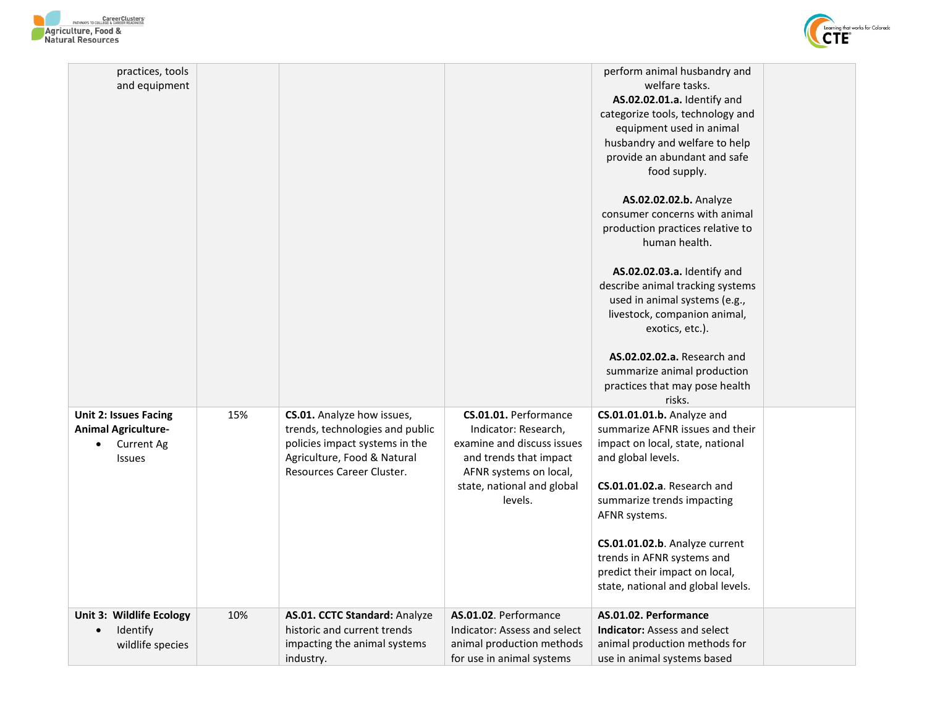



| practices, tools<br>and equipment                                                                |     |                                                                                                                                                             |                                                                                                                                                                          | perform animal husbandry and<br>welfare tasks.<br>AS.02.02.01.a. Identify and<br>categorize tools, technology and<br>equipment used in animal<br>husbandry and welfare to help<br>provide an abundant and safe<br>food supply.<br>AS.02.02.02.b. Analyze<br>consumer concerns with animal<br>production practices relative to<br>human health.<br>AS.02.02.03.a. Identify and<br>describe animal tracking systems<br>used in animal systems (e.g.,<br>livestock, companion animal,<br>exotics, etc.).<br><b>AS.02.02.02.a.</b> Research and<br>summarize animal production<br>practices that may pose health<br>risks. |
|--------------------------------------------------------------------------------------------------|-----|-------------------------------------------------------------------------------------------------------------------------------------------------------------|--------------------------------------------------------------------------------------------------------------------------------------------------------------------------|------------------------------------------------------------------------------------------------------------------------------------------------------------------------------------------------------------------------------------------------------------------------------------------------------------------------------------------------------------------------------------------------------------------------------------------------------------------------------------------------------------------------------------------------------------------------------------------------------------------------|
| <b>Unit 2: Issues Facing</b><br><b>Animal Agriculture-</b><br><b>Current Ag</b><br><b>Issues</b> | 15% | CS.01. Analyze how issues,<br>trends, technologies and public<br>policies impact systems in the<br>Agriculture, Food & Natural<br>Resources Career Cluster. | CS.01.01. Performance<br>Indicator: Research,<br>examine and discuss issues<br>and trends that impact<br>AFNR systems on local,<br>state, national and global<br>levels. | CS.01.01.01.b. Analyze and<br>summarize AFNR issues and their<br>impact on local, state, national<br>and global levels.<br>CS.01.01.02.a. Research and<br>summarize trends impacting<br>AFNR systems.<br>CS.01.01.02.b. Analyze current<br>trends in AFNR systems and<br>predict their impact on local,<br>state, national and global levels.                                                                                                                                                                                                                                                                          |
| Unit 3: Wildlife Ecology<br>Identify<br>wildlife species                                         | 10% | AS.01. CCTC Standard: Analyze<br>historic and current trends<br>impacting the animal systems<br>industry.                                                   | AS.01.02. Performance<br>Indicator: Assess and select<br>animal production methods<br>for use in animal systems                                                          | AS.01.02. Performance<br><b>Indicator:</b> Assess and select<br>animal production methods for<br>use in animal systems based                                                                                                                                                                                                                                                                                                                                                                                                                                                                                           |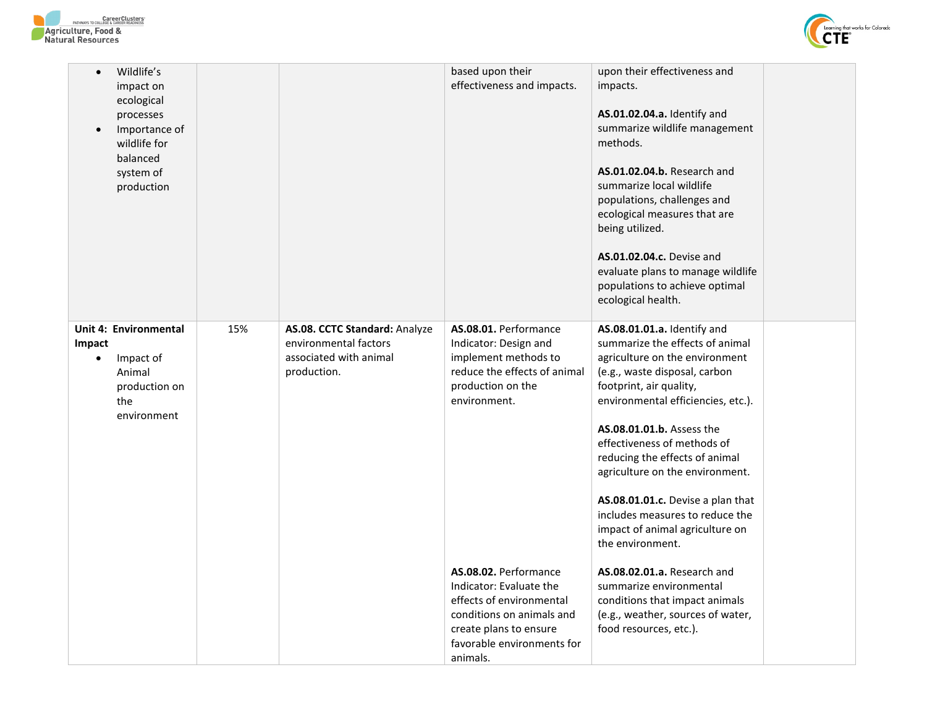



| Wildlife's<br>$\bullet$<br>impact on<br>ecological<br>processes<br>Importance of<br>$\bullet$<br>wildlife for<br>balanced<br>system of<br>production |     |                                                                                                 | based upon their<br>effectiveness and impacts.                                                                                                                                                                                                                                                                               | upon their effectiveness and<br>impacts.<br><b>AS.01.02.04.a.</b> Identify and<br>summarize wildlife management<br>methods.<br><b>AS.01.02.04.b.</b> Research and<br>summarize local wildlife<br>populations, challenges and<br>ecological measures that are<br>being utilized.<br>AS.01.02.04.c. Devise and<br>evaluate plans to manage wildlife<br>populations to achieve optimal<br>ecological health.                                                                                                                                                                                                                            |  |
|------------------------------------------------------------------------------------------------------------------------------------------------------|-----|-------------------------------------------------------------------------------------------------|------------------------------------------------------------------------------------------------------------------------------------------------------------------------------------------------------------------------------------------------------------------------------------------------------------------------------|--------------------------------------------------------------------------------------------------------------------------------------------------------------------------------------------------------------------------------------------------------------------------------------------------------------------------------------------------------------------------------------------------------------------------------------------------------------------------------------------------------------------------------------------------------------------------------------------------------------------------------------|--|
| <b>Unit 4: Environmental</b><br>Impact<br>Impact of<br>Animal<br>production on<br>the<br>environment                                                 | 15% | AS.08. CCTC Standard: Analyze<br>environmental factors<br>associated with animal<br>production. | AS.08.01. Performance<br>Indicator: Design and<br>implement methods to<br>reduce the effects of animal<br>production on the<br>environment.<br>AS.08.02. Performance<br>Indicator: Evaluate the<br>effects of environmental<br>conditions on animals and<br>create plans to ensure<br>favorable environments for<br>animals. | AS.08.01.01.a. Identify and<br>summarize the effects of animal<br>agriculture on the environment<br>(e.g., waste disposal, carbon<br>footprint, air quality,<br>environmental efficiencies, etc.).<br>AS.08.01.01.b. Assess the<br>effectiveness of methods of<br>reducing the effects of animal<br>agriculture on the environment.<br>AS.08.01.01.c. Devise a plan that<br>includes measures to reduce the<br>impact of animal agriculture on<br>the environment.<br><b>AS.08.02.01.a.</b> Research and<br>summarize environmental<br>conditions that impact animals<br>(e.g., weather, sources of water,<br>food resources, etc.). |  |